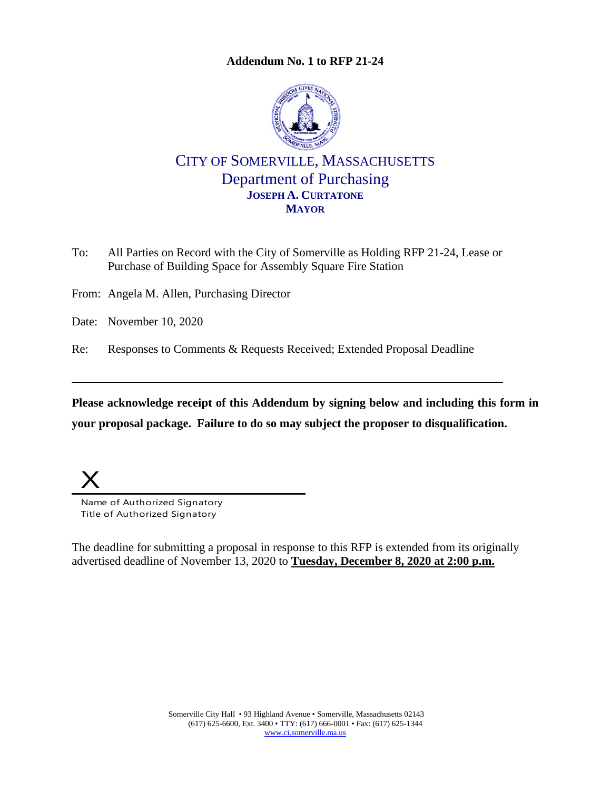## **Addendum No. 1 to RFP 21-24**



## CITY OF SOMERVILLE, MASSACHUSETTS Department of Purchasing **JOSEPH A. CURTATONE MAYOR**

To: All Parties on Record with the City of Somerville as Holding RFP 21-24, Lease or Purchase of Building Space for Assembly Square Fire Station

From: Angela M. Allen, Purchasing Director

Date: November 10, 2020

Re: Responses to Comments & Requests Received; Extended Proposal Deadline

**Please acknowledge receipt of this Addendum by signing below and including this form in your proposal package. Failure to do so may subject the proposer to disqualification.**

 $\overline{X}$ 

Name of Authorized Signatory Title of Authorized Signatory

The deadline for submitting a proposal in response to this RFP is extended from its originally advertised deadline of November 13, 2020 to **Tuesday, December 8, 2020 at 2:00 p.m.**